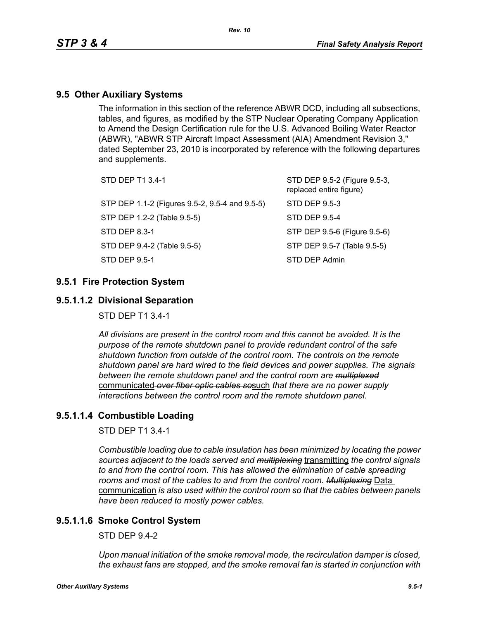# **9.5 Other Auxiliary Systems**

The information in this section of the reference ABWR DCD, including all subsections, tables, and figures, as modified by the STP Nuclear Operating Company Application to Amend the Design Certification rule for the U.S. Advanced Boiling Water Reactor (ABWR), "ABWR STP Aircraft Impact Assessment (AIA) Amendment Revision 3," dated September 23, 2010 is incorporated by reference with the following departures and supplements.

| STD DEP T1 3.4-1                               | STD DEP 9.5-2 (Figure 9.5-3,<br>replaced entire figure) |
|------------------------------------------------|---------------------------------------------------------|
| STP DEP 1.1-2 (Figures 9.5-2, 9.5-4 and 9.5-5) | STD DEP 9.5-3                                           |
| STP DEP 1.2-2 (Table 9.5-5)                    | STD DEP 9.5-4                                           |
| STD DEP 8.3-1                                  | STP DEP 9.5-6 (Figure 9.5-6)                            |
| STD DEP 9.4-2 (Table 9.5-5)                    | STP DEP 9.5-7 (Table 9.5-5)                             |
| STD DEP 9.5-1                                  | STD DEP Admin                                           |
|                                                |                                                         |

## **9.5.1 Fire Protection System**

## **9.5.1.1.2 Divisional Separation**

STD DEP T1 3.4-1

*All divisions are present in the control room and this cannot be avoided. It is the purpose of the remote shutdown panel to provide redundant control of the safe shutdown function from outside of the control room. The controls on the remote shutdown panel are hard wired to the field devices and power supplies. The signals between the remote shutdown panel and the control room are multiplexed* communicated *over fiber optic cables so*such *that there are no power supply interactions between the control room and the remote shutdown panel.*

# **9.5.1.1.4 Combustible Loading**

STD DEP T1 3.4-1

*Combustible loading due to cable insulation has been minimized by locating the power sources adjacent to the loads served and multiplexing* transmitting *the control signals to and from the control room. This has allowed the elimination of cable spreading rooms and most of the cables to and from the control room. Multiplexing* Data communication *is also used within the control room so that the cables between panels have been reduced to mostly power cables.*

# **9.5.1.1.6 Smoke Control System**

 $STD$  DFP 9.4-2

*Upon manual initiation of the smoke removal mode, the recirculation damper is closed, the exhaust fans are stopped, and the smoke removal fan is started in conjunction with*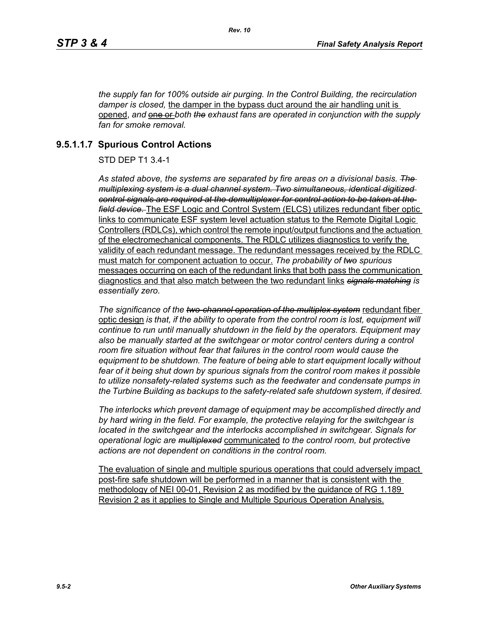*the supply fan for 100% outside air purging. In the Control Building, the recirculation damper is closed,* the damper in the bypass duct around the air handling unit is opened, and **one or** both the exhaust fans are operated in conjunction with the supply *fan for smoke removal.*

# **9.5.1.1.7 Spurious Control Actions**

STD DEP T1 3.4-1

*As stated above, the systems are separated by fire areas on a divisional basis. The multiplexing system is a dual channel system. Two simultaneous, identical digitized control signals are required at the demultiplexer for control action to be taken at the field device.* The ESF Logic and Control System (ELCS) utilizes redundant fiber optic links to communicate ESF system level actuation status to the Remote Digital Logic Controllers (RDLCs), which control the remote input/output functions and the actuation of the electromechanical components. The RDLC utilizes diagnostics to verify the validity of each redundant message. The redundant messages received by the RDLC must match for component actuation to occur. *The probability of two spurious* messages occurring on each of the redundant links that both pass the communication diagnostics and that also match between the two redundant links *signals matching is essentially zero.*

*The significance of the two-channel operation of the multiplex system* redundant fiber optic design *is that, if the ability to operate from the control room is lost, equipment will continue to run until manually shutdown in the field by the operators. Equipment may*  also be manually started at the switchgear or motor control centers during a control *room fire situation without fear that failures in the control room would cause the equipment to be shutdown. The feature of being able to start equipment locally without fear of it being shut down by spurious signals from the control room makes it possible to utilize nonsafety-related systems such as the feedwater and condensate pumps in the Turbine Building as backups to the safety-related safe shutdown system, if desired.*

*The interlocks which prevent damage of equipment may be accomplished directly and by hard wiring in the field. For example, the protective relaying for the switchgear is located in the switchgear and the interlocks accomplished in switchgear. Signals for operational logic are multiplexed* communicated *to the control room, but protective actions are not dependent on conditions in the control room.*

The evaluation of single and multiple spurious operations that could adversely impact post-fire safe shutdown will be performed in a manner that is consistent with the methodology of NEI 00-01, Revision 2 as modified by the guidance of RG 1.189 Revision 2 as it applies to Single and Multiple Spurious Operation Analysis.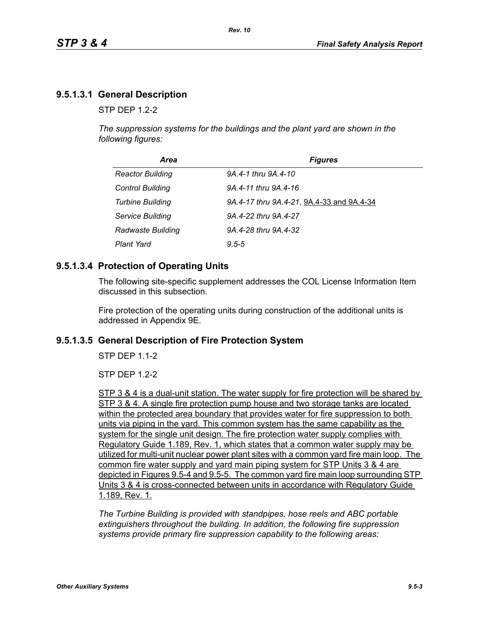# **9.5.1.3.1 General Description**

 $STP$  DFP 12-2

*The suppression systems for the buildings and the plant yard are shown in the following figures:*

| Area                     | <b>Figures</b>                            |
|--------------------------|-------------------------------------------|
| <b>Reactor Building</b>  | 9A.4-1 thru 9A.4-10                       |
| <b>Control Building</b>  | 9A.4-11 thru 9A.4-16                      |
| <b>Turbine Building</b>  | 9A.4-17 thru 9A.4-21, 9A.4-33 and 9A.4-34 |
| Service Building         | 9A.4-22 thru 9A.4-27                      |
| <b>Radwaste Building</b> | 9A.4-28 thru 9A.4-32                      |
| <b>Plant Yard</b>        | $9.5 - 5$                                 |

# **9.5.1.3.4 Protection of Operating Units**

The following site-specific supplement addresses the COL License Information Item discussed in this subsection.

Fire protection of the operating units during construction of the additional units is addressed in Appendix 9E.

#### **9.5.1.3.5 General Description of Fire Protection System**

STP DEP 1.1-2

STP DEP 1.2-2

STP 3 & 4 is a dual-unit station. The water supply for fire protection will be shared by STP 3 & 4. A single fire protection pump house and two storage tanks are located within the protected area boundary that provides water for fire suppression to both units via piping in the yard. This common system has the same capability as the system for the single unit design. The fire protection water supply complies with Regulatory Guide 1.189, Rev. 1, which states that a common water supply may be utilized for multi-unit nuclear power plant sites with a common yard fire main loop. The common fire water supply and yard main piping system for STP Units 3 & 4 are depicted in Figures 9.5-4 and 9.5-5. The common yard fire main loop surrounding STP Units 3 & 4 is cross-connected between units in accordance with Regulatory Guide 1.189, Rev. 1.

*The Turbine Building is provided with standpipes, hose reels and ABC portable extinguishers throughout the building. In addition, the following fire suppression systems provide primary fire suppression capability to the following areas:*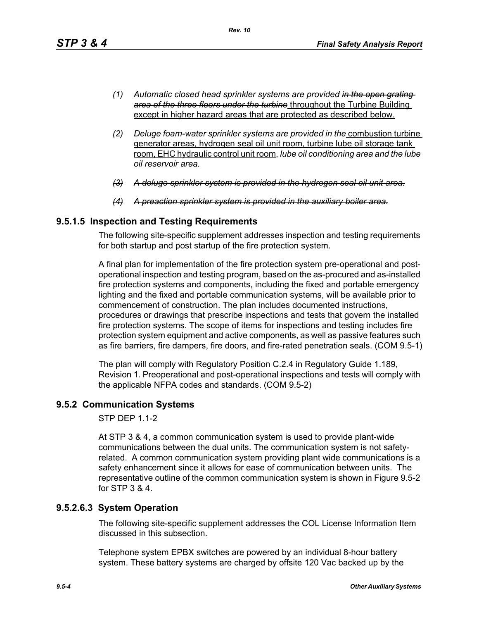- *(1) Automatic closed head sprinkler systems are provided in the open grating area of the three floors under the turbine* throughout the Turbine Building except in higher hazard areas that are protected as described below.
- *(2) Deluge foam-water sprinkler systems are provided in the* combustion turbine generator areas, hydrogen seal oil unit room, turbine lube oil storage tank room, EHC hydraulic control unit room, *lube oil conditioning area and the lube oil reservoir area.*
- *(3) A deluge sprinkler system is provided in the hydrogen seal oil unit area.*
- *(4) A preaction sprinkler system is provided in the auxiliary boiler area.*

# **9.5.1.5 Inspection and Testing Requirements**

The following site-specific supplement addresses inspection and testing requirements for both startup and post startup of the fire protection system.

A final plan for implementation of the fire protection system pre-operational and postoperational inspection and testing program, based on the as-procured and as-installed fire protection systems and components, including the fixed and portable emergency lighting and the fixed and portable communication systems, will be available prior to commencement of construction. The plan includes documented instructions, procedures or drawings that prescribe inspections and tests that govern the installed fire protection systems. The scope of items for inspections and testing includes fire protection system equipment and active components, as well as passive features such as fire barriers, fire dampers, fire doors, and fire-rated penetration seals. (COM 9.5-1)

The plan will comply with Regulatory Position C.2.4 in Regulatory Guide 1.189, Revision 1. Preoperational and post-operational inspections and tests will comply with the applicable NFPA codes and standards. (COM 9.5-2)

# **9.5.2 Communication Systems**

STP DEP 1.1-2

At STP 3 & 4, a common communication system is used to provide plant-wide communications between the dual units. The communication system is not safetyrelated. A common communication system providing plant wide communications is a safety enhancement since it allows for ease of communication between units. The representative outline of the common communication system is shown in Figure 9.5-2 for STP 3 & 4.

# **9.5.2.6.3 System Operation**

The following site-specific supplement addresses the COL License Information Item discussed in this subsection.

Telephone system EPBX switches are powered by an individual 8-hour battery system. These battery systems are charged by offsite 120 Vac backed up by the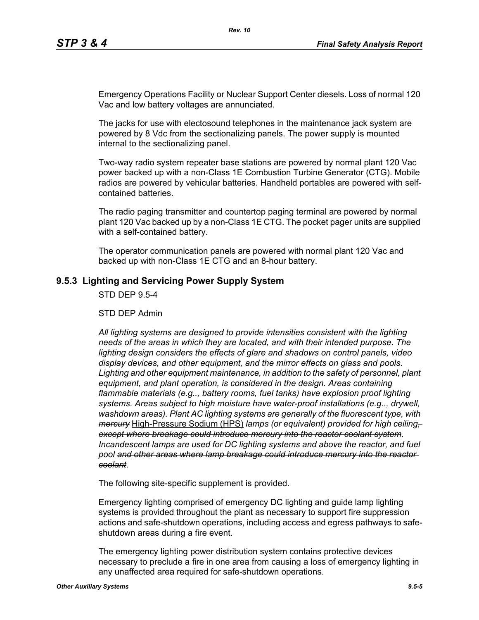Emergency Operations Facility or Nuclear Support Center diesels. Loss of normal 120 Vac and low battery voltages are annunciated.

The jacks for use with electosound telephones in the maintenance jack system are powered by 8 Vdc from the sectionalizing panels. The power supply is mounted internal to the sectionalizing panel.

Two-way radio system repeater base stations are powered by normal plant 120 Vac power backed up with a non-Class 1E Combustion Turbine Generator (CTG). Mobile radios are powered by vehicular batteries. Handheld portables are powered with selfcontained batteries.

The radio paging transmitter and countertop paging terminal are powered by normal plant 120 Vac backed up by a non-Class 1E CTG. The pocket pager units are supplied with a self-contained battery.

The operator communication panels are powered with normal plant 120 Vac and backed up with non-Class 1E CTG and an 8-hour battery.

#### **9.5.3 Lighting and Servicing Power Supply System**

STD DEP 9.5-4

STD DEP Admin

*All lighting systems are designed to provide intensities consistent with the lighting needs of the areas in which they are located, and with their intended purpose. The lighting design considers the effects of glare and shadows on control panels, video display devices, and other equipment, and the mirror effects on glass and pools. Lighting and other equipment maintenance, in addition to the safety of personnel, plant equipment, and plant operation, is considered in the design. Areas containing flammable materials (e.g.., battery rooms, fuel tanks) have explosion proof lighting systems. Areas subject to high moisture have water-proof installations (e.g.., drywell, washdown areas). Plant AC lighting systems are generally of the fluorescent type, with mercury* High-Pressure Sodium (HPS) *lamps (or equivalent) provided for high ceiling, except where breakage could introduce mercury into the reactor coolant system*. *Incandescent lamps are used for DC lighting systems and above the reactor, and fuel pool and other areas where lamp breakage could introduce mercury into the reactor coolant*.

The following site-specific supplement is provided.

Emergency lighting comprised of emergency DC lighting and guide lamp lighting systems is provided throughout the plant as necessary to support fire suppression actions and safe-shutdown operations, including access and egress pathways to safeshutdown areas during a fire event.

The emergency lighting power distribution system contains protective devices necessary to preclude a fire in one area from causing a loss of emergency lighting in any unaffected area required for safe-shutdown operations.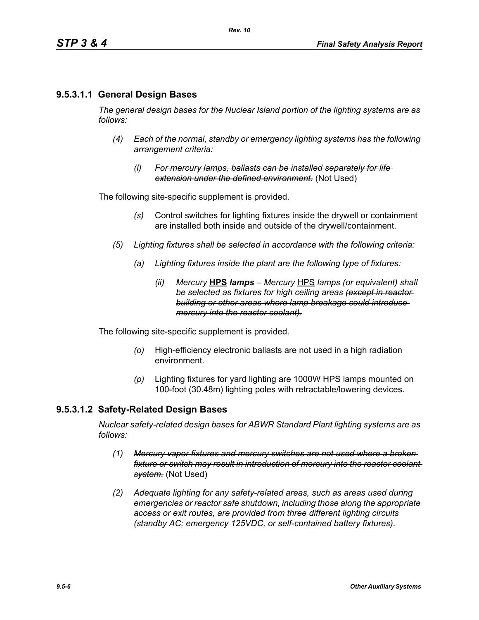# **9.5.3.1.1 General Design Bases**

*The general design bases for the Nuclear Island portion of the lighting systems are as follows:*

- *(4) Each of the normal, standby or emergency lighting systems has the following arrangement criteria:*
	- *(l) For mercury lamps, ballasts can be installed separately for life extension under the defined environment.* (Not Used)

The following site-specific supplement is provided.

- *(s)* Control switches for lighting fixtures inside the drywell or containment are installed both inside and outside of the drywell/containment.
- *(5) Lighting fixtures shall be selected in accordance with the following criteria:*
	- *(a) Lighting fixtures inside the plant are the following type of fixtures:*
		- *(ii) Mercury* **HPS** *lamps Mercury* HPS *lamps (or equivalent) shall be selected as fixtures for high ceiling areas (except in reactor building or other areas where lamp breakage could introduce mercury into the reactor coolant).*

The following site-specific supplement is provided.

- *(o)* High-efficiency electronic ballasts are not used in a high radiation environment.
- *(p)* Lighting fixtures for yard lighting are 1000W HPS lamps mounted on 100-foot (30.48m) lighting poles with retractable/lowering devices.

#### **9.5.3.1.2 Safety-Related Design Bases**

*Nuclear safety-related design bases for ABWR Standard Plant lighting systems are as follows:*

- *(1) Mercury vapor fixtures and mercury switches are not used where a broken fixture or switch may result in introduction of mercury into the reactor coolant system.* (Not Used)
- *(2) Adequate lighting for any safety-related areas, such as areas used during emergencies or reactor safe shutdown, including those along the appropriate access or exit routes, are provided from three different lighting circuits (standby AC; emergency 125VDC, or self-contained battery fixtures).*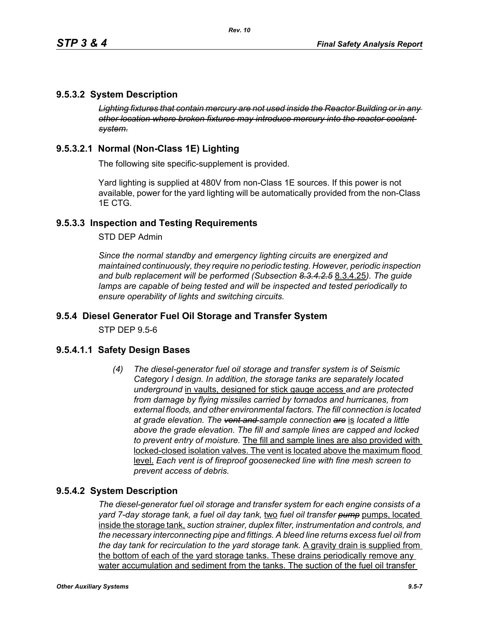# **9.5.3.2 System Description**

*Lighting fixtures that contain mercury are not used inside the Reactor Building or in any other location where broken fixtures may introduce mercury into the reactor coolant system.*

# **9.5.3.2.1 Normal (Non-Class 1E) Lighting**

The following site specific-supplement is provided.

Yard lighting is supplied at 480V from non-Class 1E sources. If this power is not available, power for the yard lighting will be automatically provided from the non-Class 1E CTG.

# **9.5.3.3 Inspection and Testing Requirements**

STD DEP Admin

*Since the normal standby and emergency lighting circuits are energized and maintained continuously, they require no periodic testing. However, periodic inspection and bulb replacement will be performed (Subsection 8.3.4.2.5* 8.3.4.25*). The guide lamps are capable of being tested and will be inspected and tested periodically to ensure operability of lights and switching circuits.*

#### **9.5.4 Diesel Generator Fuel Oil Storage and Transfer System**

STP DEP 9.5-6

#### **9.5.4.1.1 Safety Design Bases**

*(4) The diesel-generator fuel oil storage and transfer system is of Seismic Category I design. In addition, the storage tanks are separately located underground* in vaults, designed for stick gauge access *and are protected from damage by flying missiles carried by tornados and hurricanes, from external floods, and other environmental factors. The fill connection is located at grade elevation. The vent and sample connection are* is *located a little above the grade elevation. The fill and sample lines are capped and locked to prevent entry of moisture.* The fill and sample lines are also provided with locked-closed isolation valves. The vent is located above the maximum flood level. *Each vent is of fireproof goosenecked line with fine mesh screen to prevent access of debris.*

#### **9.5.4.2 System Description**

*The diesel-generator fuel oil storage and transfer system for each engine consists of a yard 7-day storage tank, a fuel oil day tank,* two *fuel oil transfer pump* pumps, located inside the storage tank, *suction strainer, duplex filter, instrumentation and controls, and the necessary interconnecting pipe and fittings. A bleed line returns excess fuel oil from the day tank for recirculation to the yard storage tank.* A gravity drain is supplied from the bottom of each of the yard storage tanks. These drains periodically remove any water accumulation and sediment from the tanks. The suction of the fuel oil transfer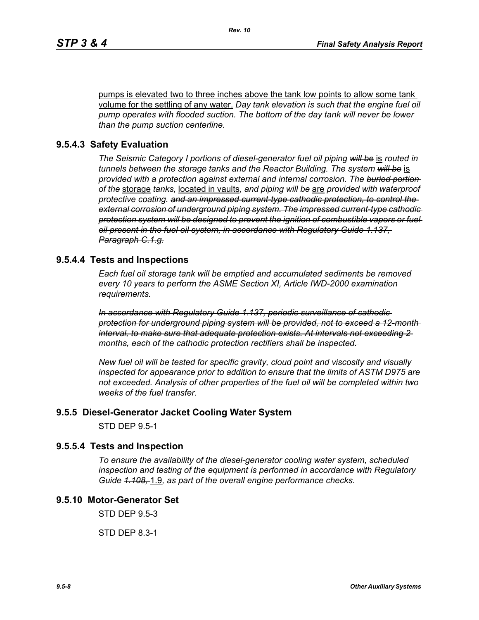pumps is elevated two to three inches above the tank low points to allow some tank volume for the settling of any water. *Day tank elevation is such that the engine fuel oil pump operates with flooded suction. The bottom of the day tank will never be lower than the pump suction centerline.*

#### **9.5.4.3 Safety Evaluation**

*The Seismic Category I portions of diesel-generator fuel oil piping will be* is *routed in tunnels between the storage tanks and the Reactor Building. The system will be* is *provided with a protection against external and internal corrosion. The buried portion of the* storage *tanks,* located in vaults, *and piping will be* are *provided with waterproof protective coating. and an impressed current-type cathodic protection, to control the external corrosion of underground piping system. The impressed current-type cathodic protection system will be designed to prevent the ignition of combustible vapors or fuel oil present in the fuel oil system, in accordance with Regulatory Guide 1.137, Paragraph C.1.g.*

#### **9.5.4.4 Tests and Inspections**

*Each fuel oil storage tank will be emptied and accumulated sediments be removed every 10 years to perform the ASME Section XI, Article IWD-2000 examination requirements.*

*In accordance with Regulatory Guide 1.137, periodic surveillance of cathodic protection for underground piping system will be provided, not to exceed a 12-month interval, to make sure that adequate protection exists. At intervals not exceeding 2 months, each of the cathodic protection rectifiers shall be inspected.* 

*New fuel oil will be tested for specific gravity, cloud point and viscosity and visually inspected for appearance prior to addition to ensure that the limits of ASTM D975 are not exceeded. Analysis of other properties of the fuel oil will be completed within two weeks of the fuel transfer.*

#### **9.5.5 Diesel-Generator Jacket Cooling Water System**

STD DEP 9.5-1

#### **9.5.5.4 Tests and Inspection**

*To ensure the availability of the diesel-generator cooling water system, scheduled inspection and testing of the equipment is performed in accordance with Regulatory Guide 1.108,* 1.9*, as part of the overall engine performance checks.*

## **9.5.10 Motor-Generator Set**

STD DEP 9.5-3

STD DEP 8.3-1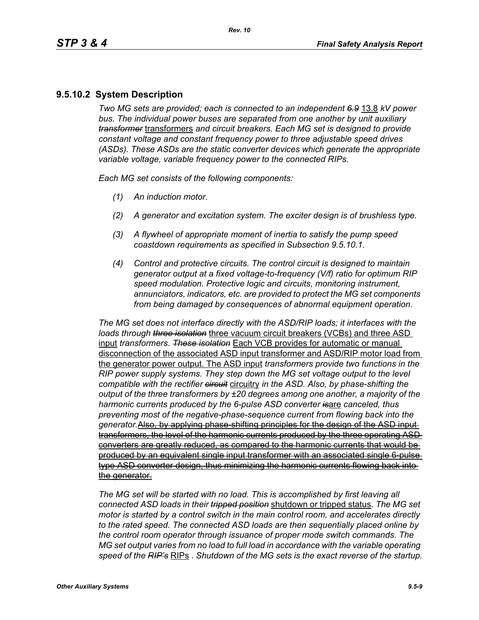# **9.5.10.2 System Description**

*Two MG sets are provided; each is connected to an independent 6.9* 13.8 *kV power bus. The individual power buses are separated from one another by unit auxiliary transformer* transformers *and circuit breakers. Each MG set is designed to provide constant voltage and constant frequency power to three adjustable speed drives (ASDs). These ASDs are the static converter devices which generate the appropriate variable voltage, variable frequency power to the connected RIPs.*

*Each MG set consists of the following components:*

- *(1) An induction motor.*
- *(2) A generator and excitation system. The exciter design is of brushless type.*
- *(3) A flywheel of appropriate moment of inertia to satisfy the pump speed coastdown requirements as specified in Subsection 9.5.10.1.*
- *(4) Control and protective circuits. The control circuit is designed to maintain generator output at a fixed voltage-to-frequency (V/f) ratio for optimum RIP speed modulation. Protective logic and circuits, monitoring instrument, annunciators, indicators, etc. are provided to protect the MG set components from being damaged by consequences of abnormal equipment operation.*

*The MG set does not interface directly with the ASD/RIP loads; it interfaces with the loads through three isolation* three vacuum circuit breakers (VCBs) and three ASD input *transformers*. *These isolation* Each VCB provides for automatic or manual disconnection of the associated ASD input transformer and ASD/RIP motor load from the generator power output. The ASD input *transformers provide two functions in the RIP power supply systems. They step down the MG set voltage output to the level compatible with the rectifier circuit* circuitry *in the ASD. Also, by phase-shifting the output of the three transformers by ±20 degrees among one another, a majority of the harmonic currents produced by the 6-pulse ASD converter is*are *canceled, thus preventing most of the negative-phase-sequence current from flowing back into the generator.*Also, by applying phase-shifting principles for the design of the ASD input transformers, the level of the harmonic currents produced by the three operating ASD converters are greatly reduced, as compared to the harmonic currents that would be produced by an equivalent single input transformer with an associated single 6-pulse type ASD converter design, thus minimizing the harmonic currents flowing back into the generator.

*The MG set will be started with no load. This is accomplished by first leaving all connected ASD loads in their tripped position* shutdown or tripped status. *The MG set motor is started by a control switch in the main control room, and accelerates directly to the rated speed. The connected ASD loads are then sequentially placed online by the control room operator through issuance of proper mode switch commands. The MG set output varies from no load to full load in accordance with the variable operating speed of the RIP's* RIPs . *Shutdown of the MG sets is the exact reverse of the startup.*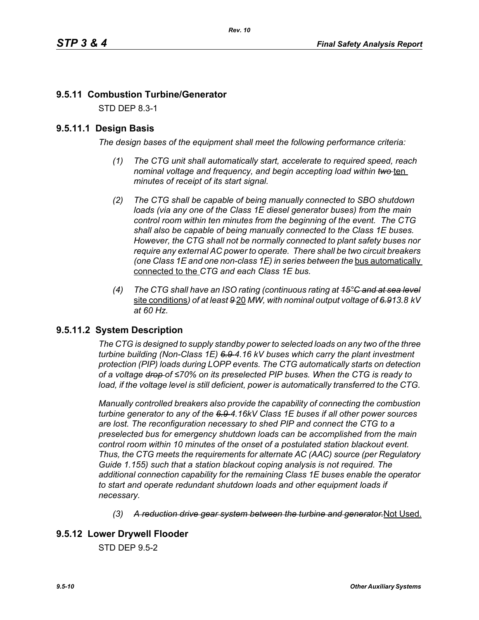# **9.5.11 Combustion Turbine/Generator**

STD DEP 8.3-1

# **9.5.11.1 Design Basis**

*The design bases of the equipment shall meet the following performance criteria:*

- *(1) The CTG unit shall automatically start, accelerate to required speed, reach nominal voltage and frequency, and begin accepting load within two* ten *minutes of receipt of its start signal.*
- *(2) The CTG shall be capable of being manually connected to SBO shutdown loads (via any one of the Class 1E diesel generator buses) from the main control room within ten minutes from the beginning of the event. The CTG shall also be capable of being manually connected to the Class 1E buses. However, the CTG shall not be normally connected to plant safety buses nor require any external AC power to operate. There shall be two circuit breakers (one Class 1E and one non-class 1E) in series between the bus automatically* connected to the *CTG and each Class 1E bus.*
- *(4) The CTG shall have an ISO rating (continuous rating at 15°C and at sea level* site conditions*) of at least 9* 20 *MW, with nominal output voltage of 6.913.8 kV at 60 Hz.*

# **9.5.11.2 System Description**

*The CTG is designed to supply standby power to selected loads on any two of the three turbine building (Non-Class 1E) 6.9 4.16 kV buses which carry the plant investment protection (PIP) loads during LOPP events. The CTG automatically starts on detection of a voltage drop of ≤70% on its preselected PIP buses. When the CTG is ready to*  load, if the voltage level is still deficient, power is automatically transferred to the CTG.

*Manually controlled breakers also provide the capability of connecting the combustion turbine generator to any of the 6.9 4.16kV Class 1E buses if all other power sources are lost. The reconfiguration necessary to shed PIP and connect the CTG to a preselected bus for emergency shutdown loads can be accomplished from the main control room within 10 minutes of the onset of a postulated station blackout event. Thus, the CTG meets the requirements for alternate AC (AAC) source (per Regulatory Guide 1.155) such that a station blackout coping analysis is not required. The additional connection capability for the remaining Class 1E buses enable the operator to start and operate redundant shutdown loads and other equipment loads if necessary.*

*(3) A reduction drive gear system between the turbine and generator.*Not Used.

# **9.5.12 Lower Drywell Flooder**

STD DEP 9.5-2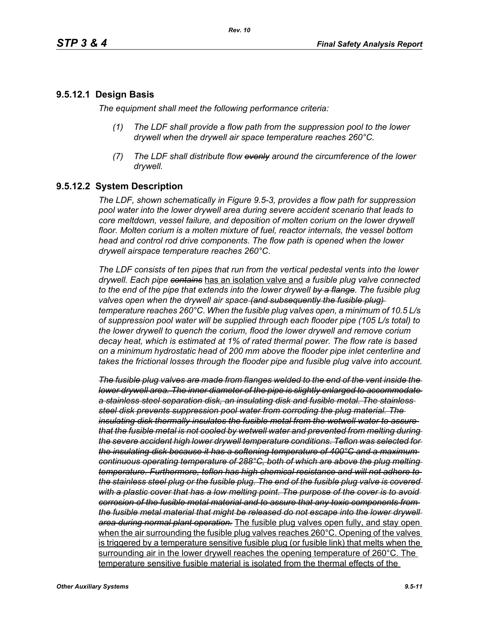## **9.5.12.1 Design Basis**

*The equipment shall meet the following performance criteria:*

- *(1) The LDF shall provide a flow path from the suppression pool to the lower drywell when the drywell air space temperature reaches 260°C.*
- *(7) The LDF shall distribute flow evenly around the circumference of the lower drywell.*

# **9.5.12.2 System Description**

*The LDF, shown schematically in Figure 9.5-3, provides a flow path for suppression pool water into the lower drywell area during severe accident scenario that leads to core meltdown, vessel failure, and deposition of molten corium on the lower drywell floor. Molten corium is a molten mixture of fuel, reactor internals, the vessel bottom head and control rod drive components. The flow path is opened when the lower drywell airspace temperature reaches 260°C*.

*The LDF consists of ten pipes that run from the vertical pedestal vents into the lower drywell. Each pipe contains* has an isolation valve and *a fusible plug valve connected to the end of the pipe that extends into the lower drywell by a flange. The fusible plug valves open when the drywell air space (and subsequently the fusible plug) temperature reaches 260°C*. *When the fusible plug valves open, a minimum of 10.5 L/s of suppression pool water will be supplied through each flooder pipe (105 L/s total) to the lower drywell to quench the corium, flood the lower drywell and remove corium decay heat, which is estimated at 1% of rated thermal power. The flow rate is based on a minimum hydrostatic head of 200 mm above the flooder pipe inlet centerline and takes the frictional losses through the flooder pipe and fusible plug valve into account.*

*The fusible plug valves are made from flanges welded to the end of the vent inside the lower drywell area. The inner diameter of the pipe is slightly enlarged to accommodate a stainless steel separation disk, an insulating disk and fusible metal. The stainless steel disk prevents suppression pool water from corroding the plug material. The insulating disk thermally insulates the fusible metal from the wetwell water to assure that the fusible metal is not cooled by wetwell water and prevented from melting during the severe accident high lower drywell temperature conditions. Teflon was selected for the insulating disk because it has a softening temperature of 400°C and a maximum continuous operating temperature of 288°C, both of which are above the plug melting temperature. Furthermore, teflon has high chemical resistance and will not adhere to the stainless steel plug or the fusible plug. The end of the fusible plug valve is covered with a plastic cover that has a low melting point. The purpose of the cover is to avoid corrosion of the fusible metal material and to assure that any toxic components from the fusible metal material that might be released do not escape into the lower drywell area during normal plant operation.* The fusible plug valves open fully, and stay open when the air surrounding the fusible plug valves reaches 260°C. Opening of the valves is triggered by a temperature sensitive fusible plug (or fusible link) that melts when the surrounding air in the lower drywell reaches the opening temperature of 260°C. The temperature sensitive fusible material is isolated from the thermal effects of the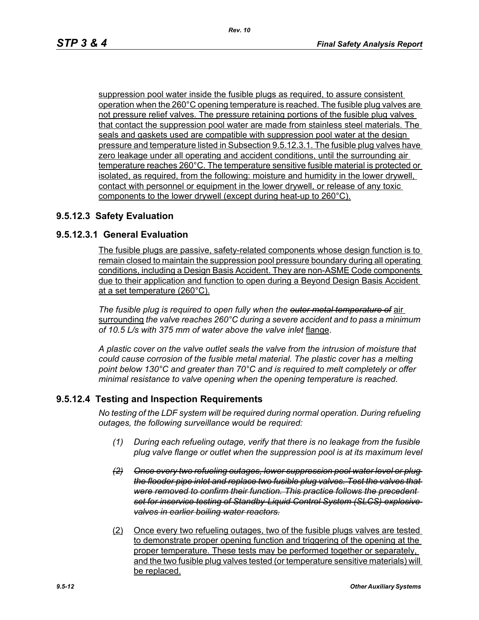suppression pool water inside the fusible plugs as required, to assure consistent operation when the 260°C opening temperature is reached. The fusible plug valves are not pressure relief valves. The pressure retaining portions of the fusible plug valves that contact the suppression pool water are made from stainless steel materials. The seals and gaskets used are compatible with suppression pool water at the design pressure and temperature listed in Subsection 9.5.12.3.1. The fusible plug valves have zero leakage under all operating and accident conditions, until the surrounding air temperature reaches 260°C. The temperature sensitive fusible material is protected or isolated, as required, from the following: moisture and humidity in the lower drywell, contact with personnel or equipment in the lower drywell, or release of any toxic components to the lower drywell (except during heat-up to 260°C).

#### **9.5.12.3 Safety Evaluation**

## **9.5.12.3.1 General Evaluation**

The fusible plugs are passive, safety-related components whose design function is to remain closed to maintain the suppression pool pressure boundary during all operating conditions, including a Design Basis Accident. They are non-ASME Code components due to their application and function to open during a Beyond Design Basis Accident at a set temperature (260°C).

*The fusible plug is required to open fully when the outer metal temperature of* air surrounding *the valve reaches 260°C during a severe accident and to pass a minimum of 10.5 L/s with 375 mm of water above the valve inlet* flange.

*A plastic cover on the valve outlet seals the valve from the intrusion of moisture that could cause corrosion of the fusible metal material. The plastic cover has a melting point below 130°C and greater than 70°C and is required to melt completely or offer minimal resistance to valve opening when the opening temperature is reached.*

#### **9.5.12.4 Testing and Inspection Requirements**

*No testing of the LDF system will be required during normal operation. During refueling outages, the following surveillance would be required:*

- *(1) During each refueling outage, verify that there is no leakage from the fusible plug valve flange or outlet when the suppression pool is at its maximum level*
- *(2) Once every two refueling outages, lower suppression pool water level or plug the flooder pipe inlet and replace two fusible plug valves. Test the valves that were removed to confirm their function. This practice follows the precedent set for inservice testing of Standby-Liquid Control System (SLCS) explosive valves in earlier boiling water reactors.*
- (2) Once every two refueling outages, two of the fusible plugs valves are tested to demonstrate proper opening function and triggering of the opening at the proper temperature. These tests may be performed together or separately, and the two fusible plug valves tested (or temperature sensitive materials) will be replaced.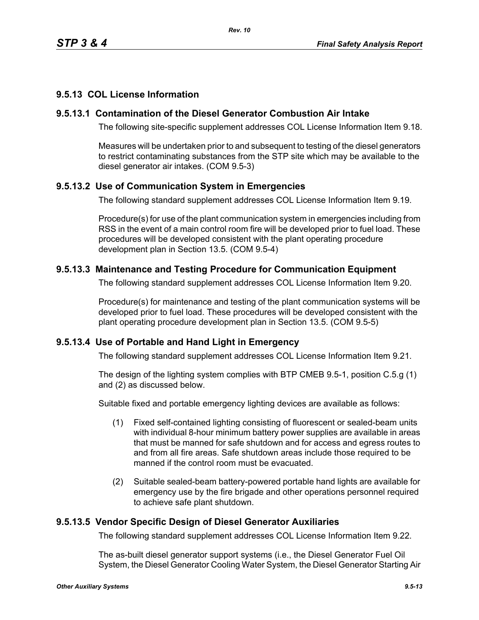# **9.5.13 COL License Information**

## **9.5.13.1 Contamination of the Diesel Generator Combustion Air Intake**

The following site-specific supplement addresses COL License Information Item 9.18.

Measures will be undertaken prior to and subsequent to testing of the diesel generators to restrict contaminating substances from the STP site which may be available to the diesel generator air intakes. (COM 9.5-3)

# **9.5.13.2 Use of Communication System in Emergencies**

The following standard supplement addresses COL License Information Item 9.19.

Procedure(s) for use of the plant communication system in emergencies including from RSS in the event of a main control room fire will be developed prior to fuel load. These procedures will be developed consistent with the plant operating procedure development plan in Section 13.5. (COM 9.5-4)

## **9.5.13.3 Maintenance and Testing Procedure for Communication Equipment**

The following standard supplement addresses COL License Information Item 9.20.

Procedure(s) for maintenance and testing of the plant communication systems will be developed prior to fuel load. These procedures will be developed consistent with the plant operating procedure development plan in Section 13.5. (COM 9.5-5)

#### **9.5.13.4 Use of Portable and Hand Light in Emergency**

The following standard supplement addresses COL License Information Item 9.21.

The design of the lighting system complies with BTP CMEB 9.5-1, position C.5.g (1) and (2) as discussed below.

Suitable fixed and portable emergency lighting devices are available as follows:

- (1) Fixed self-contained lighting consisting of fluorescent or sealed-beam units with individual 8-hour minimum battery power supplies are available in areas that must be manned for safe shutdown and for access and egress routes to and from all fire areas. Safe shutdown areas include those required to be manned if the control room must be evacuated.
- (2) Suitable sealed-beam battery-powered portable hand lights are available for emergency use by the fire brigade and other operations personnel required to achieve safe plant shutdown.

#### **9.5.13.5 Vendor Specific Design of Diesel Generator Auxiliaries**

The following standard supplement addresses COL License Information Item 9.22.

The as-built diesel generator support systems (i.e., the Diesel Generator Fuel Oil System, the Diesel Generator Cooling Water System, the Diesel Generator Starting Air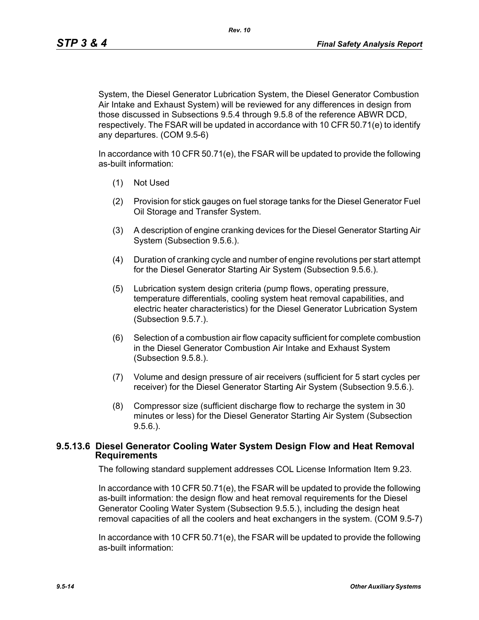*Rev. 10*

System, the Diesel Generator Lubrication System, the Diesel Generator Combustion Air Intake and Exhaust System) will be reviewed for any differences in design from those discussed in Subsections 9.5.4 through 9.5.8 of the reference ABWR DCD, respectively. The FSAR will be updated in accordance with 10 CFR 50.71(e) to identify any departures. (COM 9.5-6)

In accordance with 10 CFR 50.71(e), the FSAR will be updated to provide the following as-built information:

- (1) Not Used
- (2) Provision for stick gauges on fuel storage tanks for the Diesel Generator Fuel Oil Storage and Transfer System.
- (3) A description of engine cranking devices for the Diesel Generator Starting Air System (Subsection 9.5.6.).
- (4) Duration of cranking cycle and number of engine revolutions per start attempt for the Diesel Generator Starting Air System (Subsection 9.5.6.).
- (5) Lubrication system design criteria (pump flows, operating pressure, temperature differentials, cooling system heat removal capabilities, and electric heater characteristics) for the Diesel Generator Lubrication System (Subsection 9.5.7.).
- (6) Selection of a combustion air flow capacity sufficient for complete combustion in the Diesel Generator Combustion Air Intake and Exhaust System (Subsection 9.5.8.).
- (7) Volume and design pressure of air receivers (sufficient for 5 start cycles per receiver) for the Diesel Generator Starting Air System (Subsection 9.5.6.).
- (8) Compressor size (sufficient discharge flow to recharge the system in 30 minutes or less) for the Diesel Generator Starting Air System (Subsection 9.5.6.).

#### **9.5.13.6 Diesel Generator Cooling Water System Design Flow and Heat Removal Requirements**

The following standard supplement addresses COL License Information Item 9.23.

In accordance with 10 CFR 50.71(e), the FSAR will be updated to provide the following as-built information: the design flow and heat removal requirements for the Diesel Generator Cooling Water System (Subsection 9.5.5.), including the design heat removal capacities of all the coolers and heat exchangers in the system. (COM 9.5-7)

In accordance with 10 CFR 50.71(e), the FSAR will be updated to provide the following as-built information: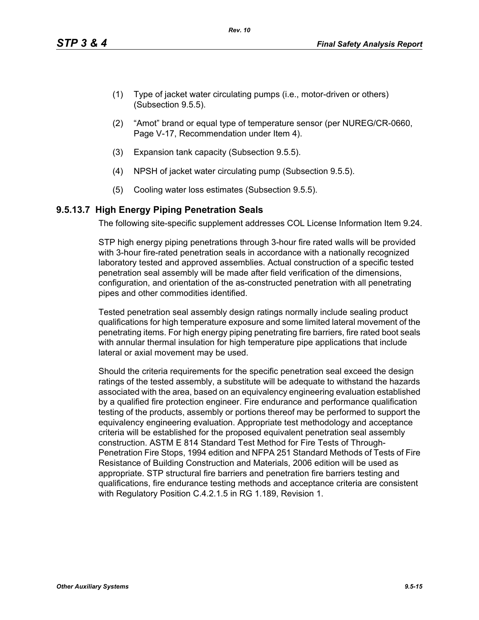- (1) Type of jacket water circulating pumps (i.e., motor-driven or others) (Subsection 9.5.5).
- (2) "Amot" brand or equal type of temperature sensor (per NUREG/CR-0660, Page V-17, Recommendation under Item 4).
- (3) Expansion tank capacity (Subsection 9.5.5).
- (4) NPSH of jacket water circulating pump (Subsection 9.5.5).
- (5) Cooling water loss estimates (Subsection 9.5.5).

## **9.5.13.7 High Energy Piping Penetration Seals**

The following site-specific supplement addresses COL License Information Item 9.24.

STP high energy piping penetrations through 3-hour fire rated walls will be provided with 3-hour fire-rated penetration seals in accordance with a nationally recognized laboratory tested and approved assemblies. Actual construction of a specific tested penetration seal assembly will be made after field verification of the dimensions, configuration, and orientation of the as-constructed penetration with all penetrating pipes and other commodities identified.

Tested penetration seal assembly design ratings normally include sealing product qualifications for high temperature exposure and some limited lateral movement of the penetrating items. For high energy piping penetrating fire barriers, fire rated boot seals with annular thermal insulation for high temperature pipe applications that include lateral or axial movement may be used.

Should the criteria requirements for the specific penetration seal exceed the design ratings of the tested assembly, a substitute will be adequate to withstand the hazards associated with the area, based on an equivalency engineering evaluation established by a qualified fire protection engineer. Fire endurance and performance qualification testing of the products, assembly or portions thereof may be performed to support the equivalency engineering evaluation. Appropriate test methodology and acceptance criteria will be established for the proposed equivalent penetration seal assembly construction. ASTM E 814 Standard Test Method for Fire Tests of Through-Penetration Fire Stops, 1994 edition and NFPA 251 Standard Methods of Tests of Fire Resistance of Building Construction and Materials, 2006 edition will be used as appropriate. STP structural fire barriers and penetration fire barriers testing and qualifications, fire endurance testing methods and acceptance criteria are consistent with Regulatory Position C.4.2.1.5 in RG 1.189, Revision 1.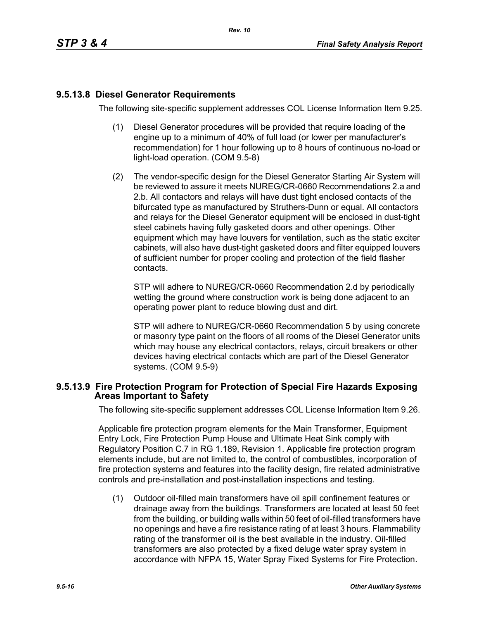# **9.5.13.8 Diesel Generator Requirements**

The following site-specific supplement addresses COL License Information Item 9.25.

- (1) Diesel Generator procedures will be provided that require loading of the engine up to a minimum of 40% of full load (or lower per manufacturer's recommendation) for 1 hour following up to 8 hours of continuous no-load or light-load operation. (COM 9.5-8)
- (2) The vendor-specific design for the Diesel Generator Starting Air System will be reviewed to assure it meets NUREG/CR-0660 Recommendations 2.a and 2.b. All contactors and relays will have dust tight enclosed contacts of the bifurcated type as manufactured by Struthers-Dunn or equal. All contactors and relays for the Diesel Generator equipment will be enclosed in dust-tight steel cabinets having fully gasketed doors and other openings. Other equipment which may have louvers for ventilation, such as the static exciter cabinets, will also have dust-tight gasketed doors and filter equipped louvers of sufficient number for proper cooling and protection of the field flasher contacts.

STP will adhere to NUREG/CR-0660 Recommendation 2.d by periodically wetting the ground where construction work is being done adjacent to an operating power plant to reduce blowing dust and dirt.

STP will adhere to NUREG/CR-0660 Recommendation 5 by using concrete or masonry type paint on the floors of all rooms of the Diesel Generator units which may house any electrical contactors, relays, circuit breakers or other devices having electrical contacts which are part of the Diesel Generator systems. (COM 9.5-9)

#### **9.5.13.9 Fire Protection Program for Protection of Special Fire Hazards Exposing Areas Important to Safety**

The following site-specific supplement addresses COL License Information Item 9.26.

Applicable fire protection program elements for the Main Transformer, Equipment Entry Lock, Fire Protection Pump House and Ultimate Heat Sink comply with Regulatory Position C.7 in RG 1.189, Revision 1. Applicable fire protection program elements include, but are not limited to, the control of combustibles, incorporation of fire protection systems and features into the facility design, fire related administrative controls and pre-installation and post-installation inspections and testing.

(1) Outdoor oil-filled main transformers have oil spill confinement features or drainage away from the buildings. Transformers are located at least 50 feet from the building, or building walls within 50 feet of oil-filled transformers have no openings and have a fire resistance rating of at least 3 hours. Flammability rating of the transformer oil is the best available in the industry. Oil-filled transformers are also protected by a fixed deluge water spray system in accordance with NFPA 15, Water Spray Fixed Systems for Fire Protection.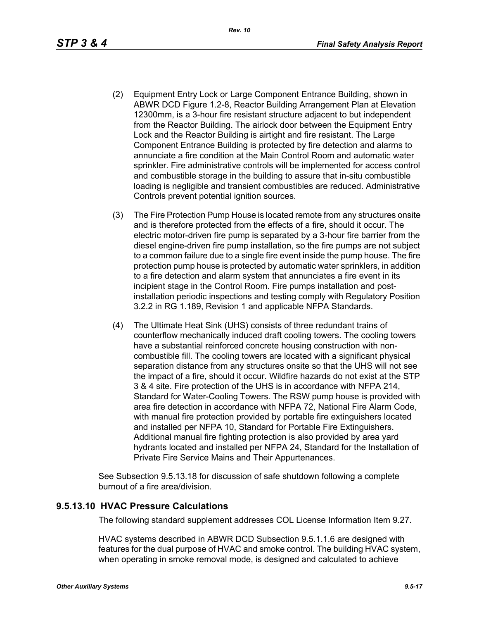- (2) Equipment Entry Lock or Large Component Entrance Building, shown in ABWR DCD Figure 1.2-8, Reactor Building Arrangement Plan at Elevation 12300mm, is a 3-hour fire resistant structure adjacent to but independent from the Reactor Building. The airlock door between the Equipment Entry Lock and the Reactor Building is airtight and fire resistant. The Large Component Entrance Building is protected by fire detection and alarms to annunciate a fire condition at the Main Control Room and automatic water sprinkler. Fire administrative controls will be implemented for access control and combustible storage in the building to assure that in-situ combustible loading is negligible and transient combustibles are reduced. Administrative Controls prevent potential ignition sources.
- (3) The Fire Protection Pump House is located remote from any structures onsite and is therefore protected from the effects of a fire, should it occur. The electric motor-driven fire pump is separated by a 3-hour fire barrier from the diesel engine-driven fire pump installation, so the fire pumps are not subject to a common failure due to a single fire event inside the pump house. The fire protection pump house is protected by automatic water sprinklers, in addition to a fire detection and alarm system that annunciates a fire event in its incipient stage in the Control Room. Fire pumps installation and postinstallation periodic inspections and testing comply with Regulatory Position 3.2.2 in RG 1.189, Revision 1 and applicable NFPA Standards.
- (4) The Ultimate Heat Sink (UHS) consists of three redundant trains of counterflow mechanically induced draft cooling towers. The cooling towers have a substantial reinforced concrete housing construction with noncombustible fill. The cooling towers are located with a significant physical separation distance from any structures onsite so that the UHS will not see the impact of a fire, should it occur. Wildfire hazards do not exist at the STP 3 & 4 site. Fire protection of the UHS is in accordance with NFPA 214, Standard for Water-Cooling Towers. The RSW pump house is provided with area fire detection in accordance with NFPA 72, National Fire Alarm Code, with manual fire protection provided by portable fire extinguishers located and installed per NFPA 10, Standard for Portable Fire Extinguishers. Additional manual fire fighting protection is also provided by area yard hydrants located and installed per NFPA 24, Standard for the Installation of Private Fire Service Mains and Their Appurtenances.

See Subsection 9.5.13.18 for discussion of safe shutdown following a complete burnout of a fire area/division.

#### **9.5.13.10 HVAC Pressure Calculations**

The following standard supplement addresses COL License Information Item 9.27.

HVAC systems described in ABWR DCD Subsection 9.5.1.1.6 are designed with features for the dual purpose of HVAC and smoke control. The building HVAC system, when operating in smoke removal mode, is designed and calculated to achieve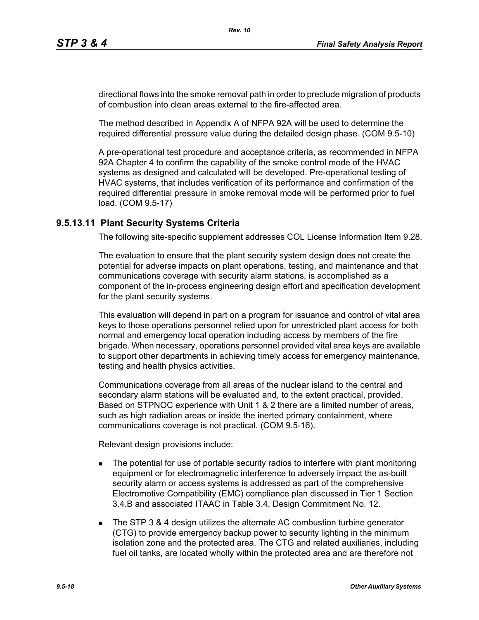directional flows into the smoke removal path in order to preclude migration of products of combustion into clean areas external to the fire-affected area.

The method described in Appendix A of NFPA 92A will be used to determine the required differential pressure value during the detailed design phase. (COM 9.5-10)

A pre-operational test procedure and acceptance criteria, as recommended in NFPA 92A Chapter 4 to confirm the capability of the smoke control mode of the HVAC systems as designed and calculated will be developed. Pre-operational testing of HVAC systems, that includes verification of its performance and confirmation of the required differential pressure in smoke removal mode will be performed prior to fuel load. (COM 9.5-17)

## **9.5.13.11 Plant Security Systems Criteria**

The following site-specific supplement addresses COL License Information Item 9.28.

The evaluation to ensure that the plant security system design does not create the potential for adverse impacts on plant operations, testing, and maintenance and that communications coverage with security alarm stations, is accomplished as a component of the in-process engineering design effort and specification development for the plant security systems.

This evaluation will depend in part on a program for issuance and control of vital area keys to those operations personnel relied upon for unrestricted plant access for both normal and emergency local operation including access by members of the fire brigade. When necessary, operations personnel provided vital area keys are available to support other departments in achieving timely access for emergency maintenance, testing and health physics activities.

Communications coverage from all areas of the nuclear island to the central and secondary alarm stations will be evaluated and, to the extent practical, provided. Based on STPNOC experience with Unit 1 & 2 there are a limited number of areas, such as high radiation areas or inside the inerted primary containment, where communications coverage is not practical. (COM 9.5-16).

Relevant design provisions include:

- **The potential for use of portable security radios to interfere with plant monitoring** equipment or for electromagnetic interference to adversely impact the as-built security alarm or access systems is addressed as part of the comprehensive Electromotive Compatibility (EMC) compliance plan discussed in Tier 1 Section 3.4.B and associated ITAAC in Table 3.4, Design Commitment No. 12.
- The STP 3 & 4 design utilizes the alternate AC combustion turbine generator (CTG) to provide emergency backup power to security lighting in the minimum isolation zone and the protected area. The CTG and related auxiliaries, including fuel oil tanks, are located wholly within the protected area and are therefore not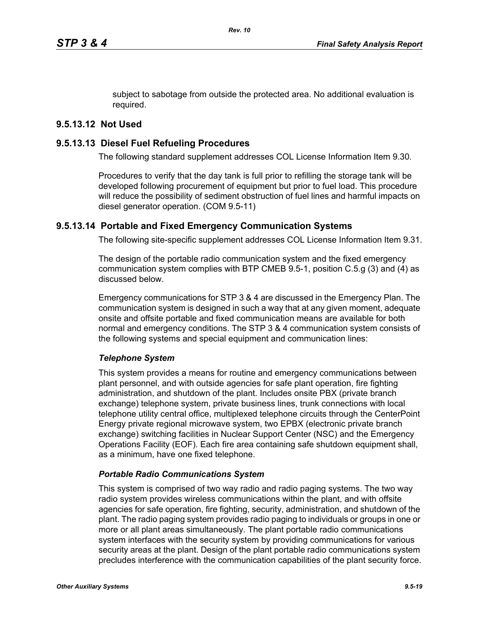subject to sabotage from outside the protected area. No additional evaluation is required.

# **9.5.13.12 Not Used**

## **9.5.13.13 Diesel Fuel Refueling Procedures**

The following standard supplement addresses COL License Information Item 9.30.

Procedures to verify that the day tank is full prior to refilling the storage tank will be developed following procurement of equipment but prior to fuel load. This procedure will reduce the possibility of sediment obstruction of fuel lines and harmful impacts on diesel generator operation. (COM 9.5-11)

## **9.5.13.14 Portable and Fixed Emergency Communication Systems**

The following site-specific supplement addresses COL License Information Item 9.31.

The design of the portable radio communication system and the fixed emergency communication system complies with BTP CMEB 9.5-1, position C.5.g (3) and (4) as discussed below.

Emergency communications for STP 3 & 4 are discussed in the Emergency Plan. The communication system is designed in such a way that at any given moment, adequate onsite and offsite portable and fixed communication means are available for both normal and emergency conditions. The STP 3 & 4 communication system consists of the following systems and special equipment and communication lines:

#### *Telephone System*

This system provides a means for routine and emergency communications between plant personnel, and with outside agencies for safe plant operation, fire fighting administration, and shutdown of the plant. Includes onsite PBX (private branch exchange) telephone system, private business lines, trunk connections with local telephone utility central office, multiplexed telephone circuits through the CenterPoint Energy private regional microwave system, two EPBX (electronic private branch exchange) switching facilities in Nuclear Support Center (NSC) and the Emergency Operations Facility (EOF). Each fire area containing safe shutdown equipment shall, as a minimum, have one fixed telephone.

#### *Portable Radio Communications System*

This system is comprised of two way radio and radio paging systems. The two way radio system provides wireless communications within the plant, and with offsite agencies for safe operation, fire fighting, security, administration, and shutdown of the plant. The radio paging system provides radio paging to individuals or groups in one or more or all plant areas simultaneously. The plant portable radio communications system interfaces with the security system by providing communications for various security areas at the plant. Design of the plant portable radio communications system precludes interference with the communication capabilities of the plant security force.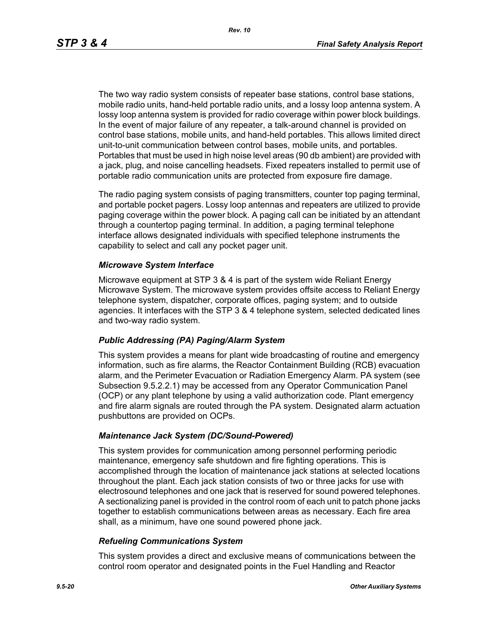The two way radio system consists of repeater base stations, control base stations, mobile radio units, hand-held portable radio units, and a lossy loop antenna system. A lossy loop antenna system is provided for radio coverage within power block buildings. In the event of major failure of any repeater, a talk-around channel is provided on control base stations, mobile units, and hand-held portables. This allows limited direct unit-to-unit communication between control bases, mobile units, and portables. Portables that must be used in high noise level areas (90 db ambient) are provided with a jack, plug, and noise cancelling headsets. Fixed repeaters installed to permit use of portable radio communication units are protected from exposure fire damage.

The radio paging system consists of paging transmitters, counter top paging terminal, and portable pocket pagers. Lossy loop antennas and repeaters are utilized to provide paging coverage within the power block. A paging call can be initiated by an attendant through a countertop paging terminal. In addition, a paging terminal telephone interface allows designated individuals with specified telephone instruments the capability to select and call any pocket pager unit.

#### *Microwave System Interface*

Microwave equipment at STP 3 & 4 is part of the system wide Reliant Energy Microwave System. The microwave system provides offsite access to Reliant Energy telephone system, dispatcher, corporate offices, paging system; and to outside agencies. It interfaces with the STP 3 & 4 telephone system, selected dedicated lines and two-way radio system.

#### *Public Addressing (PA) Paging/Alarm System*

This system provides a means for plant wide broadcasting of routine and emergency information, such as fire alarms, the Reactor Containment Building (RCB) evacuation alarm, and the Perimeter Evacuation or Radiation Emergency Alarm. PA system (see Subsection 9.5.2.2.1) may be accessed from any Operator Communication Panel (OCP) or any plant telephone by using a valid authorization code. Plant emergency and fire alarm signals are routed through the PA system. Designated alarm actuation pushbuttons are provided on OCPs.

#### *Maintenance Jack System (DC/Sound-Powered)*

This system provides for communication among personnel performing periodic maintenance, emergency safe shutdown and fire fighting operations. This is accomplished through the location of maintenance jack stations at selected locations throughout the plant. Each jack station consists of two or three jacks for use with electrosound telephones and one jack that is reserved for sound powered telephones. A sectionalizing panel is provided in the control room of each unit to patch phone jacks together to establish communications between areas as necessary. Each fire area shall, as a minimum, have one sound powered phone jack.

#### *Refueling Communications System*

This system provides a direct and exclusive means of communications between the control room operator and designated points in the Fuel Handling and Reactor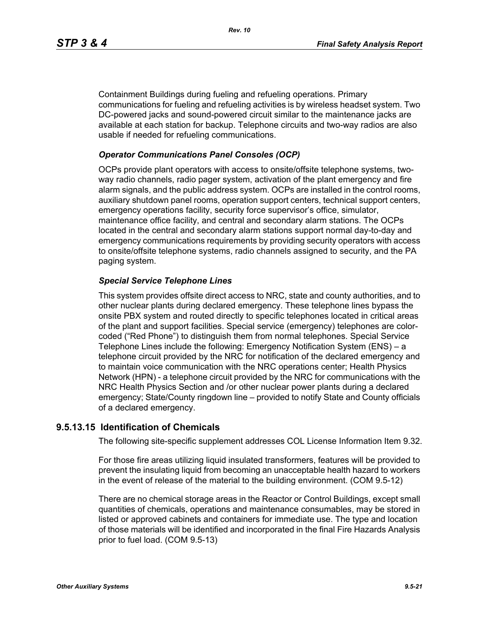Containment Buildings during fueling and refueling operations. Primary communications for fueling and refueling activities is by wireless headset system. Two DC-powered jacks and sound-powered circuit similar to the maintenance jacks are available at each station for backup. Telephone circuits and two-way radios are also usable if needed for refueling communications.

#### *Operator Communications Panel Consoles (OCP)*

OCPs provide plant operators with access to onsite/offsite telephone systems, twoway radio channels, radio pager system, activation of the plant emergency and fire alarm signals, and the public address system. OCPs are installed in the control rooms, auxiliary shutdown panel rooms, operation support centers, technical support centers, emergency operations facility, security force supervisor's office, simulator, maintenance office facility, and central and secondary alarm stations. The OCPs located in the central and secondary alarm stations support normal day-to-day and emergency communications requirements by providing security operators with access to onsite/offsite telephone systems, radio channels assigned to security, and the PA paging system.

#### *Special Service Telephone Lines*

This system provides offsite direct access to NRC, state and county authorities, and to other nuclear plants during declared emergency. These telephone lines bypass the onsite PBX system and routed directly to specific telephones located in critical areas of the plant and support facilities. Special service (emergency) telephones are colorcoded ("Red Phone") to distinguish them from normal telephones. Special Service Telephone Lines include the following: Emergency Notification System (ENS) – a telephone circuit provided by the NRC for notification of the declared emergency and to maintain voice communication with the NRC operations center; Health Physics Network (HPN) - a telephone circuit provided by the NRC for communications with the NRC Health Physics Section and /or other nuclear power plants during a declared emergency; State/County ringdown line – provided to notify State and County officials of a declared emergency.

#### **9.5.13.15 Identification of Chemicals**

The following site-specific supplement addresses COL License Information Item 9.32.

For those fire areas utilizing liquid insulated transformers, features will be provided to prevent the insulating liquid from becoming an unacceptable health hazard to workers in the event of release of the material to the building environment. (COM 9.5-12)

There are no chemical storage areas in the Reactor or Control Buildings, except small quantities of chemicals, operations and maintenance consumables, may be stored in listed or approved cabinets and containers for immediate use. The type and location of those materials will be identified and incorporated in the final Fire Hazards Analysis prior to fuel load. (COM 9.5-13)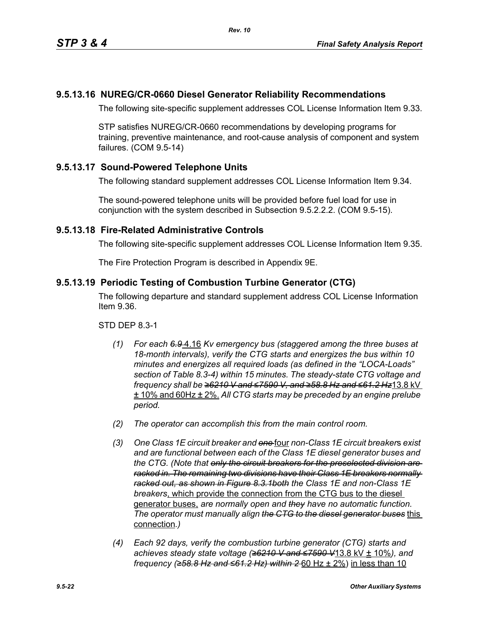# **9.5.13.16 NUREG/CR-0660 Diesel Generator Reliability Recommendations**

The following site-specific supplement addresses COL License Information Item 9.33.

STP satisfies NUREG/CR-0660 recommendations by developing programs for training, preventive maintenance, and root-cause analysis of component and system failures. (COM 9.5-14)

# **9.5.13.17 Sound-Powered Telephone Units**

The following standard supplement addresses COL License Information Item 9.34.

The sound-powered telephone units will be provided before fuel load for use in conjunction with the system described in Subsection 9.5.2.2.2. (COM 9.5-15).

## **9.5.13.18 Fire-Related Administrative Controls**

The following site-specific supplement addresses COL License Information Item 9.35.

The Fire Protection Program is described in Appendix 9E.

# **9.5.13.19 Periodic Testing of Combustion Turbine Generator (CTG)**

The following departure and standard supplement address COL License Information Item 9.36.

STD DEP 8.3-1

- *(1) For each 6.9* 4.16 *Kv emergency bus (staggered among the three buses at 18-month intervals), verify the CTG starts and energizes the bus within 10 minutes and energizes all required loads (as defined in the "LOCA-Loads" section of Table 8.3-4) within 15 minutes. The steady-state CTG voltage and frequency shall be ≥6210 V and ≤7590 V, and ≥58.8 Hz and ≤61.2 Hz*13.8 kV ± 10% and 60Hz ± 2%. *All CTG starts may be preceded by an engine prelube period.*
- *(2) The operator can accomplish this from the main control room.*
- *(3) One Class 1E circuit breaker and one* four *non-Class 1E circuit breaker*s *exist and are functional between each of the Class 1E diesel generator buses and the CTG. (Note that only the circuit breakers for the preselected division are racked in. The remaining two divisions have their Class 1E breakers normally racked out, as shown in Figure 8.3.1both the Class 1E and non-Class 1E breakers*, which provide the connection from the CTG bus to the diesel generator buses, *are normally open and they have no automatic function. The operator must manually align the CTG to the diesel generator buses* this connection*.)*
- *(4) Each 92 days, verify the combustion turbine generator (CTG) starts and achieves steady state voltage (≥6210 V and ≤7590 V*13.8 kV ± 10%*), and frequency (≥58.8 Hz and ≤61.2 Hz) within 2* 60 Hz ± 2%) in less than 10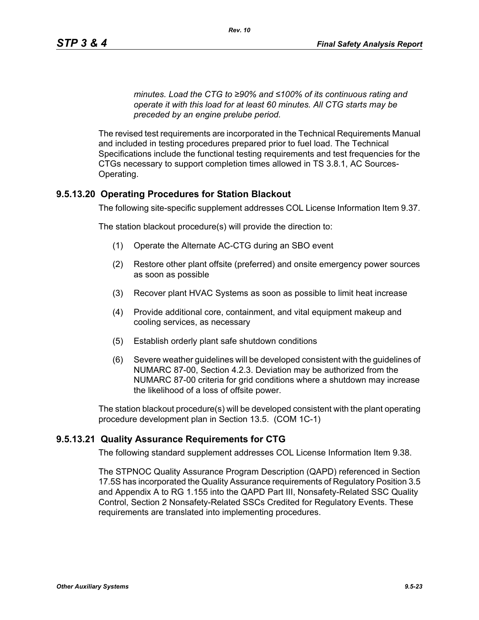*minutes. Load the CTG to ≥90% and ≤100% of its continuous rating and operate it with this load for at least 60 minutes. All CTG starts may be preceded by an engine prelube period.*

The revised test requirements are incorporated in the Technical Requirements Manual and included in testing procedures prepared prior to fuel load. The Technical Specifications include the functional testing requirements and test frequencies for the CTGs necessary to support completion times allowed in TS 3.8.1, AC Sources-Operating.

#### **9.5.13.20 Operating Procedures for Station Blackout**

The following site-specific supplement addresses COL License Information Item 9.37.

The station blackout procedure(s) will provide the direction to:

- (1) Operate the Alternate AC-CTG during an SBO event
- (2) Restore other plant offsite (preferred) and onsite emergency power sources as soon as possible
- (3) Recover plant HVAC Systems as soon as possible to limit heat increase
- (4) Provide additional core, containment, and vital equipment makeup and cooling services, as necessary
- (5) Establish orderly plant safe shutdown conditions
- (6) Severe weather guidelines will be developed consistent with the guidelines of NUMARC 87-00, Section 4.2.3. Deviation may be authorized from the NUMARC 87-00 criteria for grid conditions where a shutdown may increase the likelihood of a loss of offsite power.

The station blackout procedure(s) will be developed consistent with the plant operating procedure development plan in Section 13.5. (COM 1C-1)

#### **9.5.13.21 Quality Assurance Requirements for CTG**

The following standard supplement addresses COL License Information Item 9.38.

The STPNOC Quality Assurance Program Description (QAPD) referenced in Section 17.5S has incorporated the Quality Assurance requirements of Regulatory Position 3.5 and Appendix A to RG 1.155 into the QAPD Part III, Nonsafety-Related SSC Quality Control, Section 2 Nonsafety-Related SSCs Credited for Regulatory Events. These requirements are translated into implementing procedures.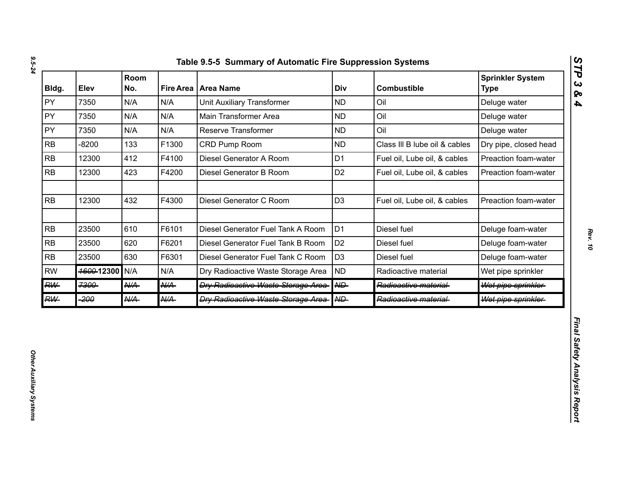| Bldg.     | Elev       | Room<br>No.     |                 | Fire Area   Area Name                      | Div               | <b>Combustible</b>            | <b>Sprinkler System</b><br><b>Type</b> |
|-----------|------------|-----------------|-----------------|--------------------------------------------|-------------------|-------------------------------|----------------------------------------|
| PY        | 7350       | N/A             | N/A             | <b>Unit Auxiliary Transformer</b>          | <b>ND</b>         | Oil                           | Deluge water                           |
| PY        | 7350       | N/A             | N/A             | Main Transformer Area                      | <b>ND</b>         | Oil                           | Deluge water                           |
| PY        | 7350       | N/A             | N/A             | Reserve Transformer                        | <b>ND</b>         | Oil                           | Deluge water                           |
| <b>RB</b> | $-8200$    | 133             | F1300           | CRD Pump Room                              | <b>ND</b>         | Class III B lube oil & cables | Dry pipe, closed head                  |
| <b>RB</b> | 12300      | 412             | F4100           | Diesel Generator A Room                    | D <sub>1</sub>    | Fuel oil, Lube oil, & cables  | Preaction foam-water                   |
| <b>RB</b> | 12300      | 423             | F4200           | Diesel Generator B Room                    | D <sub>2</sub>    | Fuel oil, Lube oil, & cables  | Preaction foam-water                   |
| RB        | 12300      | 432             | F4300           | Diesel Generator C Room                    | D <sub>3</sub>    | Fuel oil, Lube oil, & cables  | Preaction foam-water                   |
| RB        | 23500      | 610             | F6101           | Diesel Generator Fuel Tank A Room          | D <sub>1</sub>    | Diesel fuel                   | Deluge foam-water                      |
| <b>RB</b> | 23500      | 620             | F6201           | Diesel Generator Fuel Tank B Room          | D <sub>2</sub>    | Diesel fuel                   | Deluge foam-water                      |
| RB        | 23500      | 630             | F6301           | Diesel Generator Fuel Tank C Room          | D <sub>3</sub>    | Diesel fuel                   | Deluge foam-water                      |
| <b>RW</b> | 4600-12300 | N/A             | N/A             | Dry Radioactive Waste Storage Area         | <b>ND</b>         | Radioactive material          | Wet pipe sprinkler                     |
| RW-       | 7300       | AKA-            | $A\mathcal{U}A$ | <b>Dry Radioactive Waste Storage Area-</b> | $A \rightarrow B$ | Radioactive material-         | Wet pipe sprinkler                     |
| <b>RW</b> | -200       | $A\mathcal{U}A$ | <b>N/A</b>      | <b>Dry Radioactive Waste Storage Area-</b> | A                 | Radioactive material-         | Wet pipe sprinkler                     |

*Rev. 10*

*STP 3 & 4*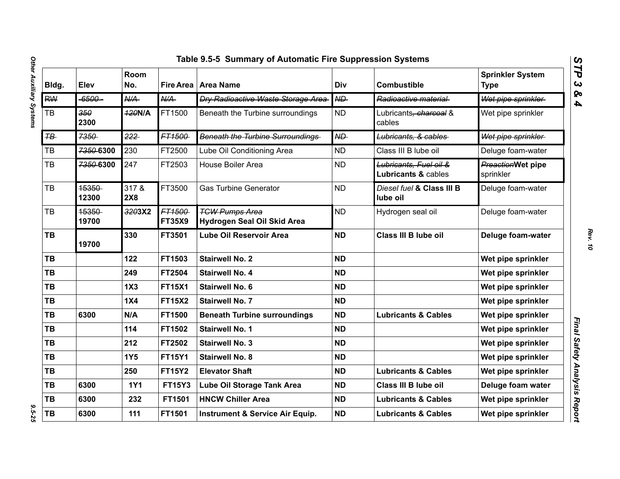| Bldg.          | Elev           | Room<br>No.      |                         | Fire Area   Area Name                                | Div       | <b>Combustible</b>                            | <b>Sprinkler System</b><br><b>Type</b> |
|----------------|----------------|------------------|-------------------------|------------------------------------------------------|-----------|-----------------------------------------------|----------------------------------------|
| <b>RW</b>      | -6500-         | $A\rightarrow A$ | N/A                     | <b>Dry Radioactive Waste Storage Area-</b>           | ND        | Radioactive material                          | Wet pipe sprinkler                     |
| TB             | 350<br>2300    | <b>420N/A</b>    | FT1500                  | Beneath the Turbine surroundings                     | <b>ND</b> | Lubricants <del>, charcoal</del> &<br>cables  | Wet pipe sprinkler                     |
| $H\rightarrow$ | 7350           | 222              | FT1500                  | <b>Beneath the Turbine Surroundings</b>              | ND        | Lubricants, & cables                          | Wet pipe sprinkler                     |
| ТB             | 7350-6300      | 230              | FT2500                  | Lube Oil Conditioning Area                           | <b>ND</b> | Class III B lube oil                          | Deluge foam-water                      |
| TB             | 7350-6300      | 247              | FT2503                  | <b>House Boiler Area</b>                             | <b>ND</b> | Lubricants, Fuel oil &<br>Lubricants & cables | <b>PreactionWet pipe</b><br>sprinkler  |
| <b>TB</b>      | 15350<br>12300 | 317 &<br>2X8     | FT3500                  | <b>Gas Turbine Generator</b>                         | <b>ND</b> | Diesel fuel & Class III B<br>lube oil         | Deluge foam-water                      |
| <b>TB</b>      | 15350<br>19700 | 3203X2           | FT1500<br><b>FT35X9</b> | <b>TGW Pumps Area</b><br>Hydrogen Seal Oil Skid Area | <b>ND</b> | Hydrogen seal oil                             | Deluge foam-water                      |
| TB             | 19700          | 330              | FT3501                  | <b>Lube Oil Reservoir Area</b>                       | <b>ND</b> | Class III B lube oil                          | Deluge foam-water                      |
| TB             |                | 122              | FT1503                  | <b>Stairwell No. 2</b>                               | <b>ND</b> |                                               | Wet pipe sprinkler                     |
| <b>TB</b>      |                | 249              | FT2504                  | <b>Stairwell No. 4</b>                               | <b>ND</b> |                                               | Wet pipe sprinkler                     |
| <b>TB</b>      |                | 1X3              | <b>FT15X1</b>           | <b>Stairwell No. 6</b>                               | <b>ND</b> |                                               | Wet pipe sprinkler                     |
| <b>TB</b>      |                | 1X4              | <b>FT15X2</b>           | <b>Stairwell No. 7</b>                               | <b>ND</b> |                                               | Wet pipe sprinkler                     |
| <b>TB</b>      | 6300           | N/A              | FT1500                  | <b>Beneath Turbine surroundings</b>                  | <b>ND</b> | <b>Lubricants &amp; Cables</b>                | Wet pipe sprinkler                     |
| <b>TB</b>      |                | 114              | FT1502                  | <b>Stairwell No. 1</b>                               | <b>ND</b> |                                               | Wet pipe sprinkler                     |
| <b>TB</b>      |                | 212              | FT2502                  | <b>Stairwell No. 3</b>                               | <b>ND</b> |                                               | Wet pipe sprinkler                     |
| <b>TB</b>      |                | <b>1Y5</b>       | <b>FT15Y1</b>           | <b>Stairwell No. 8</b>                               | <b>ND</b> |                                               | Wet pipe sprinkler                     |
| <b>TB</b>      |                | 250              | <b>FT15Y2</b>           | <b>Elevator Shaft</b>                                | <b>ND</b> | <b>Lubricants &amp; Cables</b>                | Wet pipe sprinkler                     |
| TB             | 6300           | <b>1Y1</b>       | <b>FT15Y3</b>           | Lube Oil Storage Tank Area                           | <b>ND</b> | Class III B lube oil                          | Deluge foam water                      |
| TB             | 6300           | 232              | FT1501                  | <b>HNCW Chiller Area</b>                             | <b>ND</b> | <b>Lubricants &amp; Cables</b>                | Wet pipe sprinkler                     |
| TB             | 6300           | 111              | FT1501                  | <b>Instrument &amp; Service Air Equip.</b>           | <b>ND</b> | <b>Lubricants &amp; Cables</b>                | Wet pipe sprinkler                     |

*STP 3 & 4*

 $9.5 - 25$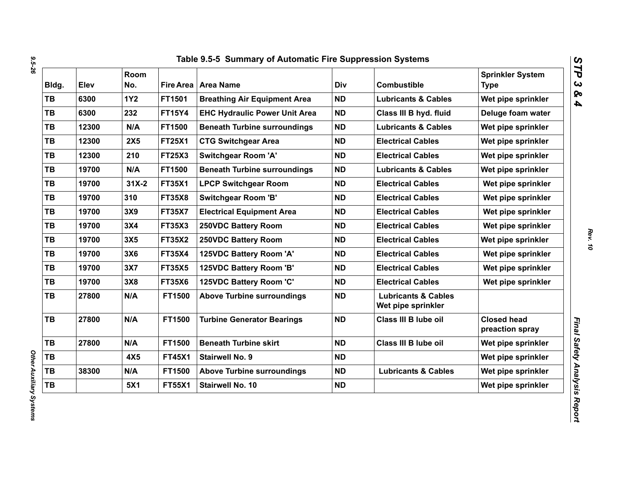| Bldg.     | Elev  | Room<br>No. |               | Fire Area   Area Name                | Div       | <b>Combustible</b>                                   | <b>Sprinkler System</b><br><b>Type</b> |
|-----------|-------|-------------|---------------|--------------------------------------|-----------|------------------------------------------------------|----------------------------------------|
| <b>TB</b> | 6300  | <b>1Y2</b>  | FT1501        | <b>Breathing Air Equipment Area</b>  | <b>ND</b> | <b>Lubricants &amp; Cables</b>                       | Wet pipe sprinkler                     |
| <b>TB</b> | 6300  | 232         | <b>FT15Y4</b> | <b>EHC Hydraulic Power Unit Area</b> | <b>ND</b> | Class III B hyd. fluid                               | Deluge foam water                      |
| TB        | 12300 | N/A         | FT1500        | <b>Beneath Turbine surroundings</b>  | <b>ND</b> | <b>Lubricants &amp; Cables</b>                       | Wet pipe sprinkler                     |
| TB        | 12300 | <b>2X5</b>  | <b>FT25X1</b> | <b>CTG Switchgear Area</b>           | <b>ND</b> | <b>Electrical Cables</b>                             | Wet pipe sprinkler                     |
| TB        | 12300 | 210         | <b>FT25X3</b> | <b>Switchgear Room 'A'</b>           | <b>ND</b> | <b>Electrical Cables</b>                             | Wet pipe sprinkler                     |
| TB        | 19700 | N/A         | FT1500        | <b>Beneath Turbine surroundings</b>  | <b>ND</b> | <b>Lubricants &amp; Cables</b>                       | Wet pipe sprinkler                     |
| <b>TB</b> | 19700 | $31X-2$     | <b>FT35X1</b> | <b>LPCP Switchgear Room</b>          | <b>ND</b> | <b>Electrical Cables</b>                             | Wet pipe sprinkler                     |
| <b>TB</b> | 19700 | 310         | <b>FT35X8</b> | <b>Switchgear Room 'B'</b>           | <b>ND</b> | <b>Electrical Cables</b>                             | Wet pipe sprinkler                     |
| <b>TB</b> | 19700 | 3X9         | <b>FT35X7</b> | <b>Electrical Equipment Area</b>     | <b>ND</b> | <b>Electrical Cables</b>                             | Wet pipe sprinkler                     |
| <b>TB</b> | 19700 | 3X4         | <b>FT35X3</b> | 250VDC Battery Room                  | <b>ND</b> | <b>Electrical Cables</b>                             | Wet pipe sprinkler                     |
| <b>TB</b> | 19700 | 3X5         | <b>FT35X2</b> | 250VDC Battery Room                  | <b>ND</b> | <b>Electrical Cables</b>                             | Wet pipe sprinkler                     |
| TB        | 19700 | 3X6         | <b>FT35X4</b> | 125VDC Battery Room 'A'              | <b>ND</b> | <b>Electrical Cables</b>                             | Wet pipe sprinkler                     |
| <b>TB</b> | 19700 | 3X7         | <b>FT35X5</b> | 125VDC Battery Room 'B'              | <b>ND</b> | <b>Electrical Cables</b>                             | Wet pipe sprinkler                     |
| TB        | 19700 | 3X8         | <b>FT35X6</b> | 125VDC Battery Room 'C'              | <b>ND</b> | <b>Electrical Cables</b>                             | Wet pipe sprinkler                     |
| <b>TB</b> | 27800 | N/A         | FT1500        | <b>Above Turbine surroundings</b>    | <b>ND</b> | <b>Lubricants &amp; Cables</b><br>Wet pipe sprinkler |                                        |
| <b>TB</b> | 27800 | N/A         | FT1500        | <b>Turbine Generator Bearings</b>    | <b>ND</b> | Class III B lube oil                                 | <b>Closed head</b><br>preaction spray  |
| <b>TB</b> | 27800 | N/A         | FT1500        | <b>Beneath Turbine skirt</b>         | <b>ND</b> | Class III B lube oil                                 | Wet pipe sprinkler                     |
| TB        |       | 4X5         | <b>FT45X1</b> | <b>Stairwell No. 9</b>               | <b>ND</b> |                                                      | Wet pipe sprinkler                     |
| TB        | 38300 | N/A         | FT1500        | <b>Above Turbine surroundings</b>    | <b>ND</b> | <b>Lubricants &amp; Cables</b>                       | Wet pipe sprinkler                     |
| TB        |       | 5X1         | <b>FT55X1</b> | Stairwell No. 10                     | <b>ND</b> |                                                      | Wet pipe sprinkler                     |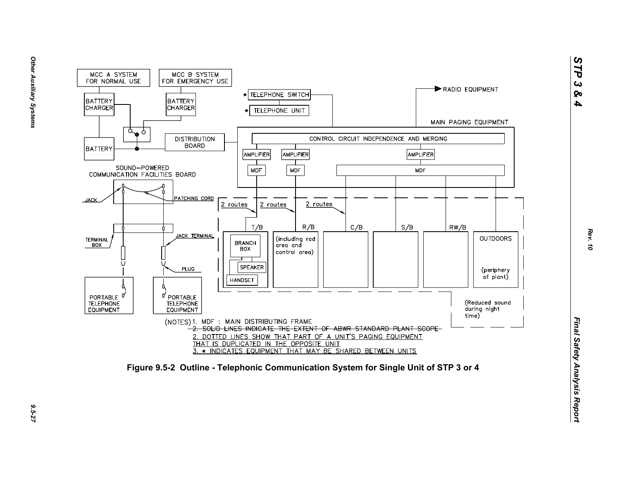

9.5-27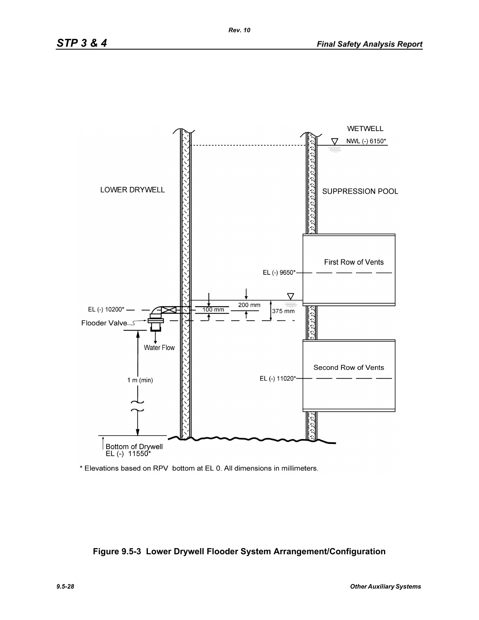

\* Elevations based on RPV bottom at EL 0. All dimensions in millimeters.

#### **Figure 9.5-3 Lower Drywell Flooder System Arrangement/Configuration**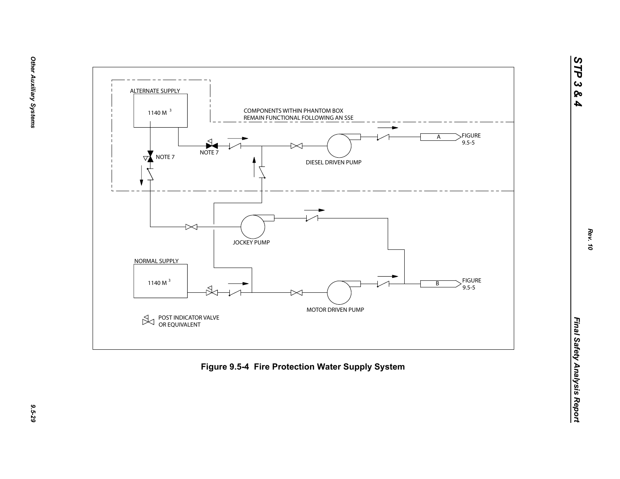

*STP 3 & 4*

9.5-29